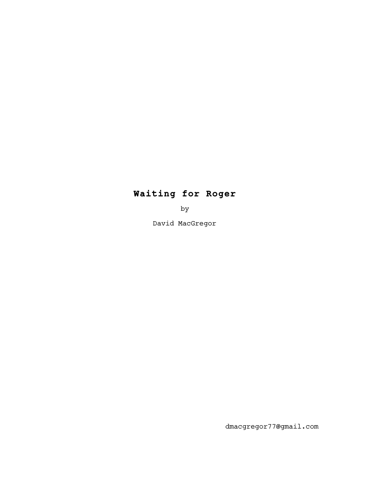# **Waiting for Roger**

by

David MacGregor

dmacgregor77@gmail.com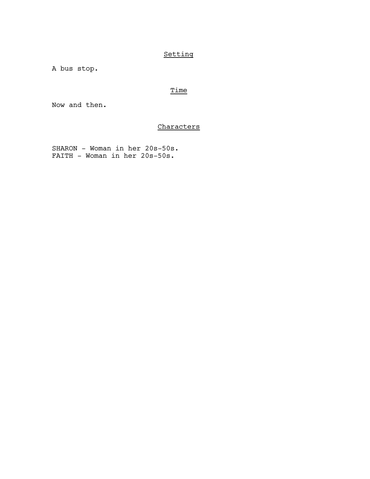# Setting

A bus stop.

# Time

Now and then.

## **Characters**

 SHARON - Woman in her 20s-50s. FAITH - Woman in her 20s-50s.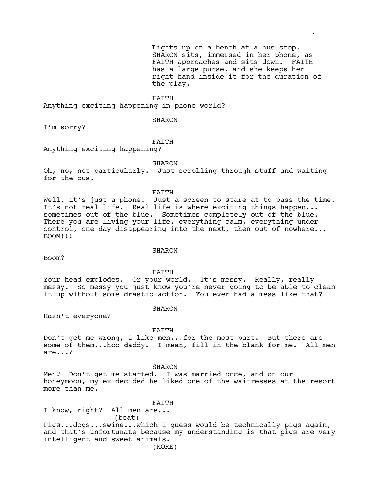Lights up on a bench at a bus stop. SHARON sits, immersed in her phone, as FAITH approaches and sits down. FAITH has a large purse, and she keeps her right hand inside it for the duration of the play.

FAITH

Anything exciting happening in phone-world?

SHARON

I'm sorry?

#### FAITH

Anything exciting happening?

SHARON

Oh, no, not particularly. Just scrolling through stuff and waiting for the bus.

#### FAITH

Well, it's just a phone. Just a screen to stare at to pass the time. It's not real life. Real life is where exciting things happen... sometimes out of the blue. Sometimes completely out of the blue. There you are living your life, everything calm, everything under control, one day disappearing into the next, then out of nowhere... BOOM!!!

#### SHARON

Boom?

FAITH

Your head explodes. Or your world. It's messy. Really, really messy. So messy you just know you're never going to be able to clean it up without some drastic action. You ever had a mess like that?

#### SHARON

Hasn't everyone?

#### FAITH

Don't get me wrong, I like men...for the most part. But there are some of them...hoo daddy. I mean, fill in the blank for me. All men are...?

SHARON

Men? Don't get me started. I was married once, and on our honeymoon, my ex decided he liked one of the waitresses at the resort more than me.

FAITH

I know, right? All men are... (beat)

Pigs...dogs...swine...which I guess would be technically pigs again, and that's unfortunate because my understanding is that pigs are very intelligent and sweet animals.

(MORE)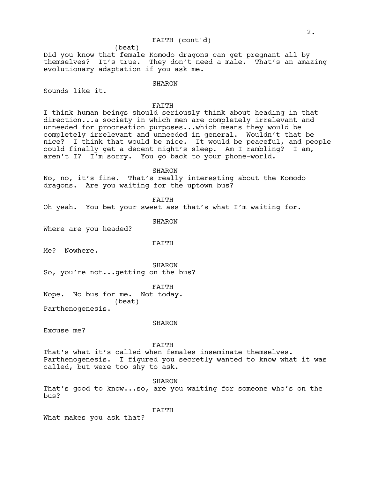### FAITH (cont'd)

Did you know that female Komodo dragons can get pregnant all by themselves? It's true. They don't need a male. That's an amazing evolutionary adaptation if you ask me.

### **SHARON**

(beat)

Sounds like it.

#### FAITH

I think human beings should seriously think about heading in that direction...a society in which men are completely irrelevant and unneeded for procreation purposes...which means they would be completely irrelevant and unneeded in general. Wouldn't that be nice? I think that would be nice. It would be peaceful, and people could finally get a decent night's sleep. Am I rambling? I am, aren't I? I'm sorry. You go back to your phone-world.

SHARON

No, no, it's fine. That's really interesting about the Komodo dragons. Are you waiting for the uptown bus?

FAITH

Oh yeah. You bet your sweet ass that's what I'm waiting for.

SHARON

Where are you headed?

### FAITH

Me? Nowhere.

SHARON So, you're not...getting on the bus?

FAITH

Nope. No bus for me. Not today. (beat)

Parthenogenesis.

#### SHARON

Excuse me?

FAITH

That's what it's called when females inseminate themselves. Parthenogenesis. I figured you secretly wanted to know what it was called, but were too shy to ask.

SHARON That's good to know...so, are you waiting for someone who's on the bus?

FAITH

What makes you ask that?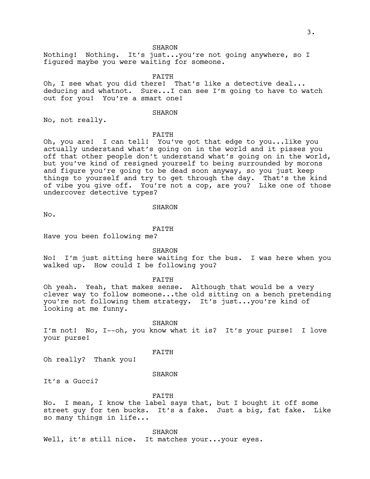SHARON

Nothing! Nothing. It's just...you're not going anywhere, so I figured maybe you were waiting for someone.

FAITH

Oh, I see what you did there! That's like a detective deal... deducing and whatnot. Sure...I can see I'm going to have to watch out for you! You're a smart one!

#### SHARON

No, not really.

#### FAITH

Oh, you are! I can tell! You've got that edge to you...like you actually understand what's going on in the world and it pisses you off that other people don't understand what's going on in the world, but you've kind of resigned yourself to being surrounded by morons and figure you're going to be dead soon anyway, so you just keep things to yourself and try to get through the day. That's the kind of vibe you give off. You're not a cop, are you? Like one of those undercover detective types?

SHARON

No.

FAITH

Have you been following me?

SHARON

No! I'm just sitting here waiting for the bus. I was here when you walked up. How could I be following you?

FAITH

Oh yeah. Yeah, that makes sense. Although that would be a very clever way to follow someone...the old sitting on a bench pretending you're not following them strategy. It's just...you're kind of looking at me funny.

SHARON

I'm not! No, I--oh, you know what it is? It's your purse! I love your purse!

FAITH

Oh really? Thank you!

#### **SHARON**

It's a Gucci?

FAITH

No. I mean, I know the label says that, but I bought it off some street guy for ten bucks. It's a fake. Just a big, fat fake. Like so many things in life...

SHARON

Well, it's still nice. It matches your...your eyes.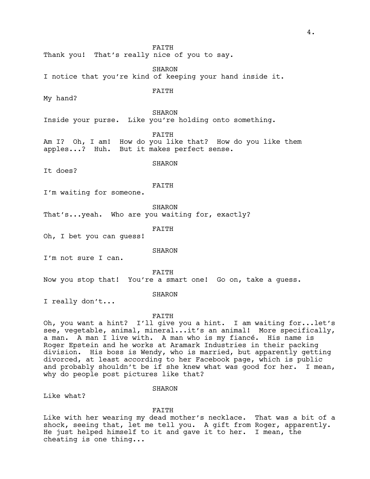FAITH Thank you! That's really nice of you to say. **SHARON** I notice that you're kind of keeping your hand inside it. FAITH My hand? SHARON Inside your purse. Like you're holding onto something. FAITH Am I? Oh, I am! How do you like that? How do you like them apples...? Huh. But it makes perfect sense. SHARON It does? FAITH I'm waiting for someone. SHARON That's...yeah. Who are you waiting for, exactly? FAITH Oh, I bet you can guess! SHARON I'm not sure I can. FAITH Now you stop that! You're a smart one! Go on, take a guess. **SHARON** I really don't... FAITH Oh, you want a hint? I'll give you a hint. I am waiting for...let's see, vegetable, animal, mineral...it's an animal! More specifically, a man. A man I live with. A man who is my fiancé. His name is Roger Epstein and he works at Aramark Industries in their packing division. His boss is Wendy, who is married, but apparently getting

divorced, at least according to her Facebook page, which is public and probably shouldn't be if she knew what was good for her. I mean, why do people post pictures like that?

SHARON

Like what?

FAITH

Like with her wearing my dead mother's necklace. That was a bit of a shock, seeing that, let me tell you. A gift from Roger, apparently. He just helped himself to it and gave it to her. I mean, the cheating is one thing...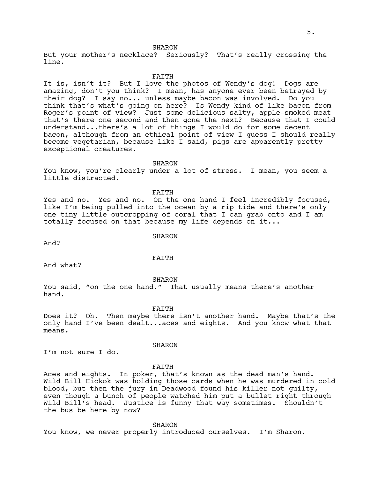#### SHARON

But your mother's necklace? Seriously? That's really crossing the line.

#### FAITH

It is, isn't it? But I love the photos of Wendy's dog! Dogs are amazing, don't you think? I mean, has anyone ever been betrayed by their dog? I say no... unless maybe bacon was involved. Do you think that's what's going on here? Is Wendy kind of like bacon from Roger's point of view? Just some delicious salty, apple-smoked meat that's there one second and then gone the next? Because that I could understand...there's a lot of things I would do for some decent bacon, although from an ethical point of view I guess I should really become vegetarian, because like I said, pigs are apparently pretty exceptional creatures.

#### SHARON

You know, you're clearly under a lot of stress. I mean, you seem a little distracted.

#### FAITH

Yes and no. Yes and no. On the one hand I feel incredibly focused, like I'm being pulled into the ocean by a rip tide and there's only one tiny little outcropping of coral that I can grab onto and I am totally focused on that because my life depends on it...

#### SHARON

And?

### FAITH

And what?

SHARON

You said, "on the one hand." That usually means there's another hand.

FAITH

Does it? Oh. Then maybe there isn't another hand. Maybe that's the only hand I've been dealt...aces and eights. And you know what that means.

I'm not sure I do.

the bus be here by now?

SHARON

FAITH Aces and eights. In poker, that's known as the dead man's hand. Wild Bill Hickok was holding those cards when he was murdered in cold blood, but then the jury in Deadwood found his killer not guilty, even though a bunch of people watched him put a bullet right through Wild Bill's head. Justice is funny that way sometimes. Shouldn't

SHARON

You know, we never properly introduced ourselves. I'm Sharon.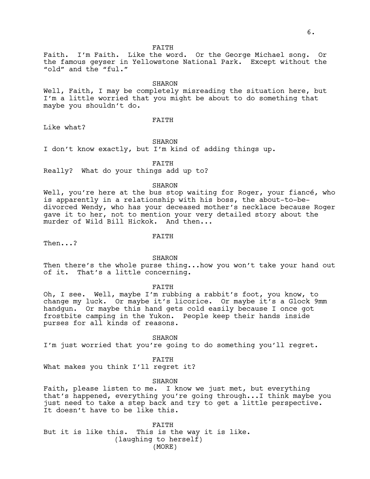FAITH

Faith. I'm Faith. Like the word. Or the George Michael song. Or the famous geyser in Yellowstone National Park. Except without the "old" and the "ful."

**SHARON** 

Well, Faith, I may be completely misreading the situation here, but I'm a little worried that you might be about to do something that maybe you shouldn't do.

FAITH

Like what?

SHARON

I don't know exactly, but I'm kind of adding things up.

FAITH

Really? What do your things add up to?

#### SHARON

Well, you're here at the bus stop waiting for Roger, your fiancé, who is apparently in a relationship with his boss, the about-to-bedivorced Wendy, who has your deceased mother's necklace because Roger gave it to her, not to mention your very detailed story about the murder of Wild Bill Hickok. And then...

FAITH

Then...?

**SHARON** 

Then there's the whole purse thing...how you won't take your hand out of it. That's a little concerning.

FAITH

Oh, I see. Well, maybe I'm rubbing a rabbit's foot, you know, to change my luck. Or maybe it's licorice. Or maybe it's a Glock 9mm handgun. Or maybe this hand gets cold easily because I once got frostbite camping in the Yukon. People keep their hands inside purses for all kinds of reasons.

**SHARON** I'm just worried that you're going to do something you'll regret.

FAITH What makes you think I'll regret it?

SHARON

Faith, please listen to me. I know we just met, but everything that's happened, everything you're going through...I think maybe you just need to take a step back and try to get a little perspective. It doesn't have to be like this.

FAITH But it is like this. This is the way it is like. (laughing to herself) (MORE)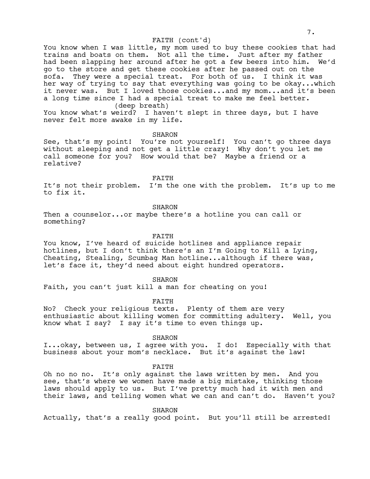#### FAITH (cont'd)

You know when I was little, my mom used to buy these cookies that had trains and boats on them. Not all the time. Just after my father had been slapping her around after he got a few beers into him. We'd go to the store and get these cookies after he passed out on the sofa. They were a special treat. For both of us. I think it was her way of trying to say that everything was going to be okay...which it never was. But I loved those cookies...and my mom...and it's been a long time since I had a special treat to make me feel better. (deep breath)

You know what's weird? I haven't slept in three days, but I have never felt more awake in my life.

#### **SHARON**

See, that's my point! You're not yourself! You can't go three days without sleeping and not get a little crazy! Why don't you let me call someone for you? How would that be? Maybe a friend or a relative?

FAITH

It's not their problem. I'm the one with the problem. It's up to me to fix it.

SHARON

Then a counselor...or maybe there's a hotline you can call or something?

FAITH

You know, I've heard of suicide hotlines and appliance repair hotlines, but I don't think there's an I'm Going to Kill a Lying, Cheating, Stealing, Scumbag Man hotline...although if there was, let's face it, they'd need about eight hundred operators.

SHARON

Faith, you can't just kill a man for cheating on you!

FAITH

No? Check your religious texts. Plenty of them are very enthusiastic about killing women for committing adultery. Well, you know what I say? I say it's time to even things up.

**SHARON** 

I...okay, between us, I agree with you. I do! Especially with that business about your mom's necklace. But it's against the law!

FAITH

Oh no no no. It's only against the laws written by men. And you see, that's where we women have made a big mistake, thinking those laws should apply to us. But I've pretty much had it with men and their laws, and telling women what we can and can't do. Haven't you?

SHARON

Actually, that's a really good point. But you'll still be arrested!